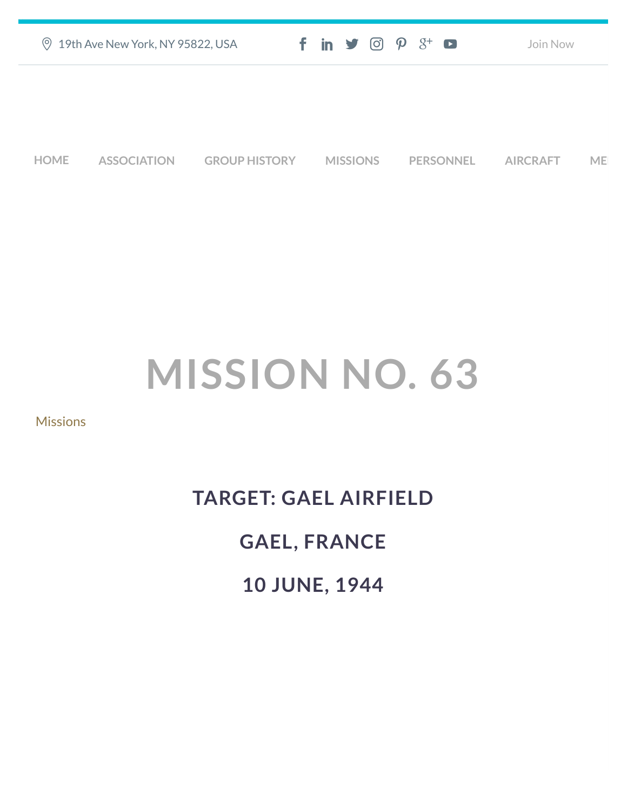| ◎ 19th Ave New York, NY 95822, USA | $f$ in $\blacktriangleright$ $\odot$ $\varphi$ $\aleph$ $\Box$ | Join Now |
|------------------------------------|----------------------------------------------------------------|----------|
|                                    |                                                                |          |
|                                    |                                                                |          |

**[HOME](https://457thbombgroupassoc.org/)** [ASSOCIATION](https://457thbombgroupassoc.org/mission-no-63/#) [GROUP HISTORY](https://457thbombgroupassoc.org/mission-no-63/#) [MISSIONS](https://457thbombgroupassoc.org/mission-no-63/#) [PERSONNEL](https://457thbombgroupassoc.org/mission-no-63/#) [AIRCRAFT](https://457thbombgroupassoc.org/mission-no-63/#) [MED](https://457thbombgroupassoc.org/mission-no-63/#)

## **MISSION NO. 63**

## **[Missions](https://457thbombgroupassoc.org/category/missions/)**

## **TARGET: GAEL AIRFIELD GAEL, FRANCE**

**10 JUNE, 1944**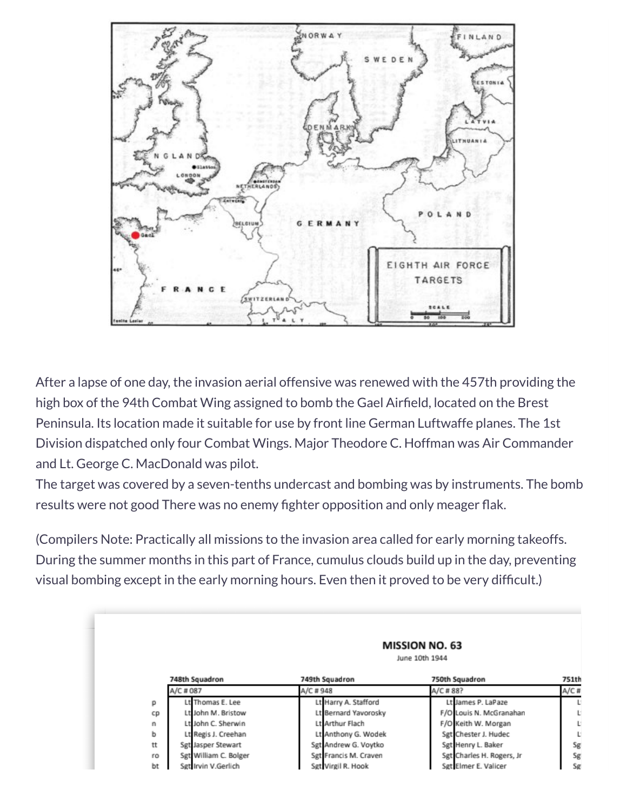

After a lapse of one day, the invasion aerial offensive was renewed with the 457th providing the high box of the 94th Combat Wing assigned to bomb the Gael Airfield, located on the Brest Peninsula. Its location made it suitable for use by front line German Luftwaffe planes. The 1st Division dispatched only four Combat Wings. Major Theodore C. Hoffman was Air Commander and Lt. George C. MacDonald was pilot.

The target was covered by a seven-tenths undercast and bombing was by instruments. The bomb results were not good There was no enemy fighter opposition and only meager flak.

(Compilers Note: Practically all missions to the invasion area called for early morning takeoffs. During the summer months in this part of France, cumulus clouds build up in the day, preventing visual bombing except in the early morning hours. Even then it proved to be very difficult.)

|    | <b>MISSION NO. 63</b><br>June 10th 1944 |                       |                           |       |  |  |
|----|-----------------------------------------|-----------------------|---------------------------|-------|--|--|
|    | 748th Squadron                          | 749th Squadron        | 750th Squadron            | 751th |  |  |
|    | A/C # 087                               | A/C # 948             | A/C # 88?                 | A/C#  |  |  |
| p  | Lt Thomas E. Lee                        | Lt Harry A. Stafford  | Lt James P. LaPaze        | L.    |  |  |
| cp | Lt John M. Bristow                      | Lt Bernard Yavorosky  | F/O Louis N. McGranahan   | U.    |  |  |
| n  | Lt John C. Sherwin                      | Lt Arthur Flach       | F/O Keith W. Morgan       | U.    |  |  |
| ь  | Lt Regis J. Creehan                     | Lt Anthony G. Wodek   | Sgt Chester J. Hudec      | U.    |  |  |
| tt | Sgt Jasper Stewart                      | Sgt Andrew G. Voytko  | Sgt Henry L. Baker        | Sg    |  |  |
| ro | Sgt William C. Bolger                   | Sgt Francis M. Craven | Sgt Charles H. Rogers, Jr | Sg    |  |  |
| bt | Set Irvin V.Gerlich                     | Sgt Virgil R. Hook    | Set Elmer E. Valicer      | Sg    |  |  |